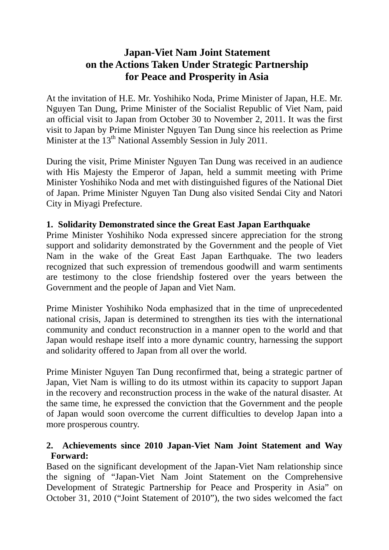# **Japan-Viet Nam Joint Statement on the Actions Taken Under Strategic Partnership for Peace and Prosperity in Asia**

At the invitation of H.E. Mr. Yoshihiko Noda, Prime Minister of Japan, H.E. Mr. Nguyen Tan Dung, Prime Minister of the Socialist Republic of Viet Nam, paid an official visit to Japan from October 30 to November 2, 2011. It was the first visit to Japan by Prime Minister Nguyen Tan Dung since his reelection as Prime Minister at the 13<sup>th</sup> National Assembly Session in July 2011.

During the visit, Prime Minister Nguyen Tan Dung was received in an audience with His Majesty the Emperor of Japan, held a summit meeting with Prime Minister Yoshihiko Noda and met with distinguished figures of the National Diet of Japan. Prime Minister Nguyen Tan Dung also visited Sendai City and Natori City in Miyagi Prefecture.

# **1. Solidarity Demonstrated since the Great East Japan Earthquake**

Prime Minister Yoshihiko Noda expressed sincere appreciation for the strong support and solidarity demonstrated by the Government and the people of Viet Nam in the wake of the Great East Japan Earthquake. The two leaders recognized that such expression of tremendous goodwill and warm sentiments are testimony to the close friendship fostered over the years between the Government and the people of Japan and Viet Nam.

Prime Minister Yoshihiko Noda emphasized that in the time of unprecedented national crisis, Japan is determined to strengthen its ties with the international community and conduct reconstruction in a manner open to the world and that Japan would reshape itself into a more dynamic country, harnessing the support and solidarity offered to Japan from all over the world.

Prime Minister Nguyen Tan Dung reconfirmed that, being a strategic partner of Japan, Viet Nam is willing to do its utmost within its capacity to support Japan in the recovery and reconstruction process in the wake of the natural disaster. At the same time, he expressed the conviction that the Government and the people of Japan would soon overcome the current difficulties to develop Japan into a more prosperous country.

# **2. Achievements since 2010 Japan-Viet Nam Joint Statement and Way Forward:**

Based on the significant development of the Japan-Viet Nam relationship since the signing of "Japan-Viet Nam Joint Statement on the Comprehensive Development of Strategic Partnership for Peace and Prosperity in Asia" on October 31, 2010 ("Joint Statement of 2010"), the two sides welcomed the fact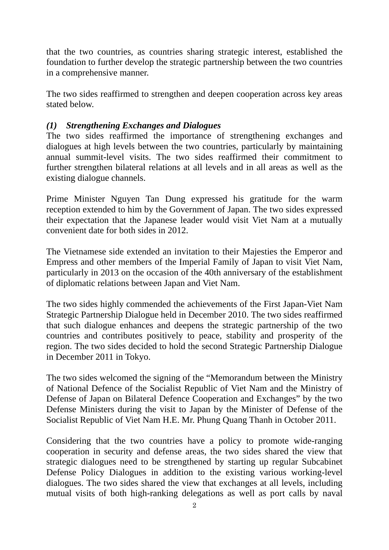that the two countries, as countries sharing strategic interest, established the foundation to further develop the strategic partnership between the two countries in a comprehensive manner.

The two sides reaffirmed to strengthen and deepen cooperation across key areas stated below.

## *(1) Strengthening Exchanges and Dialogues*

The two sides reaffirmed the importance of strengthening exchanges and dialogues at high levels between the two countries, particularly by maintaining annual summit-level visits. The two sides reaffirmed their commitment to further strengthen bilateral relations at all levels and in all areas as well as the existing dialogue channels.

Prime Minister Nguyen Tan Dung expressed his gratitude for the warm reception extended to him by the Government of Japan. The two sides expressed their expectation that the Japanese leader would visit Viet Nam at a mutually convenient date for both sides in 2012.

The Vietnamese side extended an invitation to their Majesties the Emperor and Empress and other members of the Imperial Family of Japan to visit Viet Nam, particularly in 2013 on the occasion of the 40th anniversary of the establishment of diplomatic relations between Japan and Viet Nam.

The two sides highly commended the achievements of the First Japan-Viet Nam Strategic Partnership Dialogue held in December 2010. The two sides reaffirmed that such dialogue enhances and deepens the strategic partnership of the two countries and contributes positively to peace, stability and prosperity of the region. The two sides decided to hold the second Strategic Partnership Dialogue in December 2011 in Tokyo.

The two sides welcomed the signing of the "Memorandum between the Ministry of National Defence of the Socialist Republic of Viet Nam and the Ministry of Defense of Japan on Bilateral Defence Cooperation and Exchanges" by the two Defense Ministers during the visit to Japan by the Minister of Defense of the Socialist Republic of Viet Nam H.E. Mr. Phung Quang Thanh in October 2011.

Considering that the two countries have a policy to promote wide-ranging cooperation in security and defense areas, the two sides shared the view that strategic dialogues need to be strengthened by starting up regular Subcabinet Defense Policy Dialogues in addition to the existing various working-level dialogues. The two sides shared the view that exchanges at all levels, including mutual visits of both high-ranking delegations as well as port calls by naval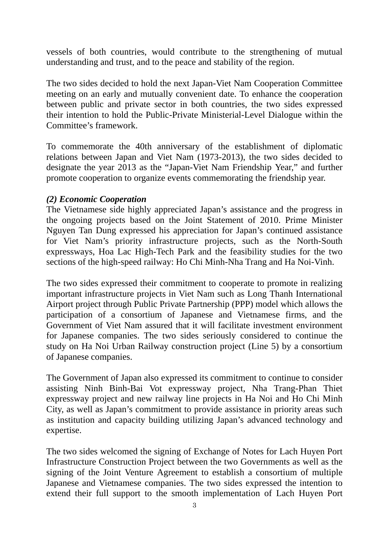vessels of both countries, would contribute to the strengthening of mutual understanding and trust, and to the peace and stability of the region.

The two sides decided to hold the next Japan-Viet Nam Cooperation Committee meeting on an early and mutually convenient date. To enhance the cooperation between public and private sector in both countries, the two sides expressed their intention to hold the Public-Private Ministerial-Level Dialogue within the Committee's framework.

To commemorate the 40th anniversary of the establishment of diplomatic relations between Japan and Viet Nam (1973-2013), the two sides decided to designate the year 2013 as the "Japan-Viet Nam Friendship Year," and further promote cooperation to organize events commemorating the friendship year.

#### *(2) Economic Cooperation*

The Vietnamese side highly appreciated Japan's assistance and the progress in the ongoing projects based on the Joint Statement of 2010. Prime Minister Nguyen Tan Dung expressed his appreciation for Japan's continued assistance for Viet Nam's priority infrastructure projects, such as the North-South expressways, Hoa Lac High-Tech Park and the feasibility studies for the two sections of the high-speed railway: Ho Chi Minh-Nha Trang and Ha Noi-Vinh.

The two sides expressed their commitment to cooperate to promote in realizing important infrastructure projects in Viet Nam such as Long Thanh International Airport project through Public Private Partnership (PPP) model which allows the participation of a consortium of Japanese and Vietnamese firms, and the Government of Viet Nam assured that it will facilitate investment environment for Japanese companies. The two sides seriously considered to continue the study on Ha Noi Urban Railway construction project (Line 5) by a consortium of Japanese companies.

The Government of Japan also expressed its commitment to continue to consider assisting Ninh Binh-Bai Vot expressway project, Nha Trang-Phan Thiet expressway project and new railway line projects in Ha Noi and Ho Chi Minh City, as well as Japan's commitment to provide assistance in priority areas such as institution and capacity building utilizing Japan's advanced technology and expertise.

The two sides welcomed the signing of Exchange of Notes for Lach Huyen Port Infrastructure Construction Project between the two Governments as well as the signing of the Joint Venture Agreement to establish a consortium of multiple Japanese and Vietnamese companies. The two sides expressed the intention to extend their full support to the smooth implementation of Lach Huyen Port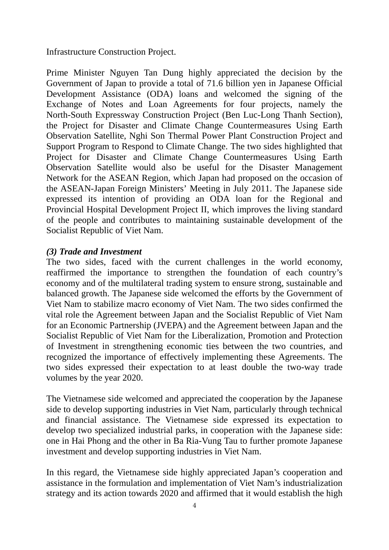Infrastructure Construction Project.

Prime Minister Nguyen Tan Dung highly appreciated the decision by the Government of Japan to provide a total of 71.6 billion yen in Japanese Official Development Assistance (ODA) loans and welcomed the signing of the Exchange of Notes and Loan Agreements for four projects, namely the North-South Expressway Construction Project (Ben Luc-Long Thanh Section), the Project for Disaster and Climate Change Countermeasures Using Earth Observation Satellite, Nghi Son Thermal Power Plant Construction Project and Support Program to Respond to Climate Change. The two sides highlighted that Project for Disaster and Climate Change Countermeasures Using Earth Observation Satellite would also be useful for the Disaster Management Network for the ASEAN Region, which Japan had proposed on the occasion of the ASEAN-Japan Foreign Ministers' Meeting in July 2011. The Japanese side expressed its intention of providing an ODA loan for the Regional and Provincial Hospital Development Project II, which improves the living standard of the people and contributes to maintaining sustainable development of the Socialist Republic of Viet Nam.

#### *(3) Trade and Investment*

The two sides, faced with the current challenges in the world economy, reaffirmed the importance to strengthen the foundation of each country's economy and of the multilateral trading system to ensure strong, sustainable and balanced growth. The Japanese side welcomed the efforts by the Government of Viet Nam to stabilize macro economy of Viet Nam. The two sides confirmed the vital role the Agreement between Japan and the Socialist Republic of Viet Nam for an Economic Partnership (JVEPA) and the Agreement between Japan and the Socialist Republic of Viet Nam for the Liberalization, Promotion and Protection of Investment in strengthening economic ties between the two countries, and recognized the importance of effectively implementing these Agreements. The two sides expressed their expectation to at least double the two-way trade volumes by the year 2020.

The Vietnamese side welcomed and appreciated the cooperation by the Japanese side to develop supporting industries in Viet Nam, particularly through technical and financial assistance. The Vietnamese side expressed its expectation to develop two specialized industrial parks, in cooperation with the Japanese side: one in Hai Phong and the other in Ba Ria-Vung Tau to further promote Japanese investment and develop supporting industries in Viet Nam.

In this regard, the Vietnamese side highly appreciated Japan's cooperation and assistance in the formulation and implementation of Viet Nam's industrialization strategy and its action towards 2020 and affirmed that it would establish the high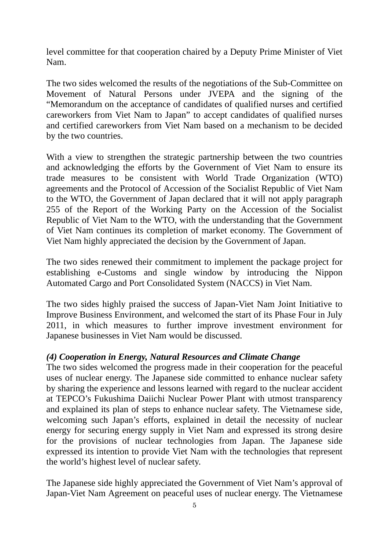level committee for that cooperation chaired by a Deputy Prime Minister of Viet Nam.

The two sides welcomed the results of the negotiations of the Sub-Committee on Movement of Natural Persons under JVEPA and the signing of the "Memorandum on the acceptance of candidates of qualified nurses and certified careworkers from Viet Nam to Japan" to accept candidates of qualified nurses and certified careworkers from Viet Nam based on a mechanism to be decided by the two countries.

With a view to strengthen the strategic partnership between the two countries and acknowledging the efforts by the Government of Viet Nam to ensure its trade measures to be consistent with World Trade Organization (WTO) agreements and the Protocol of Accession of the Socialist Republic of Viet Nam to the WTO, the Government of Japan declared that it will not apply paragraph 255 of the Report of the Working Party on the Accession of the Socialist Republic of Viet Nam to the WTO, with the understanding that the Government of Viet Nam continues its completion of market economy. The Government of Viet Nam highly appreciated the decision by the Government of Japan.

The two sides renewed their commitment to implement the package project for establishing e-Customs and single window by introducing the Nippon Automated Cargo and Port Consolidated System (NACCS) in Viet Nam.

The two sides highly praised the success of Japan-Viet Nam Joint Initiative to Improve Business Environment, and welcomed the start of its Phase Four in July 2011, in which measures to further improve investment environment for Japanese businesses in Viet Nam would be discussed.

### *(4) Cooperation in Energy, Natural Resources and Climate Change*

The two sides welcomed the progress made in their cooperation for the peaceful uses of nuclear energy. The Japanese side committed to enhance nuclear safety by sharing the experience and lessons learned with regard to the nuclear accident at TEPCO's Fukushima Daiichi Nuclear Power Plant with utmost transparency and explained its plan of steps to enhance nuclear safety. The Vietnamese side, welcoming such Japan's efforts, explained in detail the necessity of nuclear energy for securing energy supply in Viet Nam and expressed its strong desire for the provisions of nuclear technologies from Japan. The Japanese side expressed its intention to provide Viet Nam with the technologies that represent the world's highest level of nuclear safety.

The Japanese side highly appreciated the Government of Viet Nam's approval of Japan-Viet Nam Agreement on peaceful uses of nuclear energy. The Vietnamese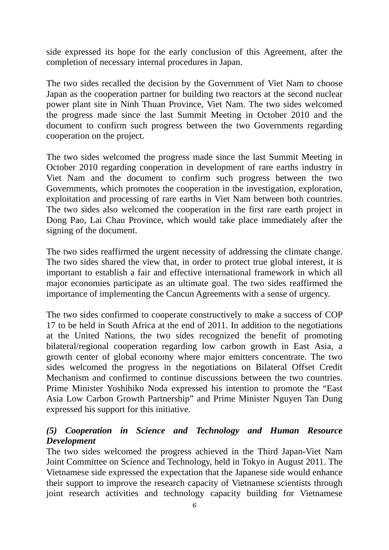side expressed its hope for the early conclusion of this Agreement, after the completion of necessary internal procedures in Japan.

The two sides recalled the decision by the Government of Viet Nam to choose Japan as the cooperation partner for building two reactors at the second nuclear power plant site in Ninh Thuan Province, Viet Nam. The two sides welcomed the progress made since the last Summit Meeting in October 2010 and the document to confirm such progress between the two Governments regarding cooperation on the project.

The two sides welcomed the progress made since the last Summit Meeting in October 2010 regarding cooperation in development of rare earths industry in Viet Nam and the document to confirm such progress between the two Governments, which promotes the cooperation in the investigation, exploration, exploitation and processing of rare earths in Viet Nam between both countries. The two sides also welcomed the cooperation in the first rare earth project in Dong Pao, Lai Chau Province, which would take place immediately after the signing of the document.

The two sides reaffirmed the urgent necessity of addressing the climate change. The two sides shared the view that, in order to protect true global interest, it is important to establish a fair and effective international framework in which all major economies participate as an ultimate goal. The two sides reaffirmed the importance of implementing the Cancun Agreements with a sense of urgency.

The two sides confirmed to cooperate constructively to make a success of COP 17 to be held in South Africa at the end of 2011. In addition to the negotiations at the United Nations, the two sides recognized the benefit of promoting bilateral/regional cooperation regarding low carbon growth in East Asia, a growth center of global economy where major emitters concentrate. The two sides welcomed the progress in the negotiations on Bilateral Offset Credit Mechanism and confirmed to continue discussions between the two countries. Prime Minister Yoshihiko Noda expressed his intention to promote the "East Asia Low Carbon Growth Partnership" and Prime Minister Nguyen Tan Dung expressed his support for this initiative.

# *(5) Cooperation in Science and Technology and Human Resource Development*

The two sides welcomed the progress achieved in the Third Japan-Viet Nam Joint Committee on Science and Technology, held in Tokyo in August 2011. The Vietnamese side expressed the expectation that the Japanese side would enhance their support to improve the research capacity of Vietnamese scientists through joint research activities and technology capacity building for Vietnamese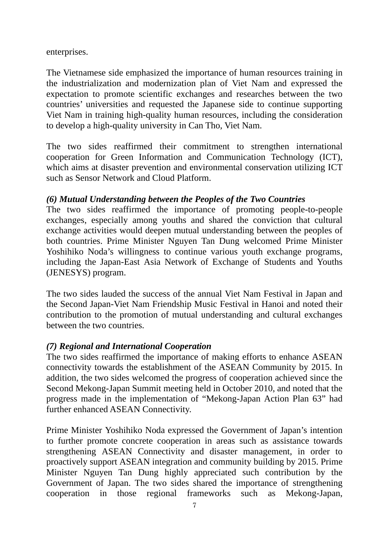#### enterprises.

The Vietnamese side emphasized the importance of human resources training in the industrialization and modernization plan of Viet Nam and expressed the expectation to promote scientific exchanges and researches between the two countries' universities and requested the Japanese side to continue supporting Viet Nam in training high-quality human resources, including the consideration to develop a high-quality university in Can Tho, Viet Nam.

The two sides reaffirmed their commitment to strengthen international cooperation for Green Information and Communication Technology (ICT), which aims at disaster prevention and environmental conservation utilizing ICT such as Sensor Network and Cloud Platform.

# *(6) Mutual Understanding between the Peoples of the Two Countries*

The two sides reaffirmed the importance of promoting people-to-people exchanges, especially among youths and shared the conviction that cultural exchange activities would deepen mutual understanding between the peoples of both countries. Prime Minister Nguyen Tan Dung welcomed Prime Minister Yoshihiko Noda's willingness to continue various youth exchange programs, including the Japan-East Asia Network of Exchange of Students and Youths (JENESYS) program.

The two sides lauded the success of the annual Viet Nam Festival in Japan and the Second Japan-Viet Nam Friendship Music Festival in Hanoi and noted their contribution to the promotion of mutual understanding and cultural exchanges between the two countries.

# *(7) Regional and International Cooperation*

The two sides reaffirmed the importance of making efforts to enhance ASEAN connectivity towards the establishment of the ASEAN Community by 2015. In addition, the two sides welcomed the progress of cooperation achieved since the Second Mekong-Japan Summit meeting held in October 2010, and noted that the progress made in the implementation of "Mekong-Japan Action Plan 63" had further enhanced ASEAN Connectivity.

Prime Minister Yoshihiko Noda expressed the Government of Japan's intention to further promote concrete cooperation in areas such as assistance towards strengthening ASEAN Connectivity and disaster management, in order to proactively support ASEAN integration and community building by 2015. Prime Minister Nguyen Tan Dung highly appreciated such contribution by the Government of Japan. The two sides shared the importance of strengthening cooperation in those regional frameworks such as Mekong-Japan,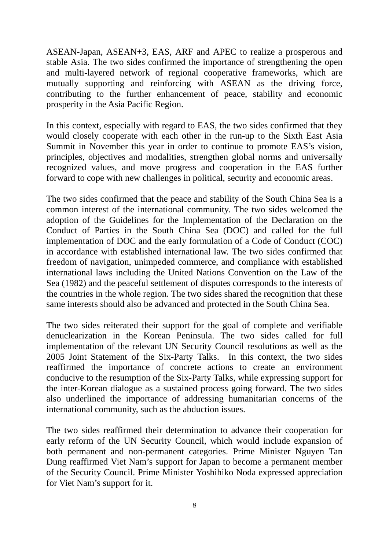ASEAN-Japan, ASEAN+3, EAS, ARF and APEC to realize a prosperous and stable Asia. The two sides confirmed the importance of strengthening the open and multi-layered network of regional cooperative frameworks, which are mutually supporting and reinforcing with ASEAN as the driving force, contributing to the further enhancement of peace, stability and economic prosperity in the Asia Pacific Region.

In this context, especially with regard to EAS, the two sides confirmed that they would closely cooperate with each other in the run-up to the Sixth East Asia Summit in November this year in order to continue to promote EAS's vision, principles, objectives and modalities, strengthen global norms and universally recognized values, and move progress and cooperation in the EAS further forward to cope with new challenges in political, security and economic areas.

The two sides confirmed that the peace and stability of the South China Sea is a common interest of the international community. The two sides welcomed the adoption of the Guidelines for the Implementation of the Declaration on the Conduct of Parties in the South China Sea (DOC) and called for the full implementation of DOC and the early formulation of a Code of Conduct (COC) in accordance with established international law. The two sides confirmed that freedom of navigation, unimpeded commerce, and compliance with established international laws including the United Nations Convention on the Law of the Sea (1982) and the peaceful settlement of disputes corresponds to the interests of the countries in the whole region. The two sides shared the recognition that these same interests should also be advanced and protected in the South China Sea.

The two sides reiterated their support for the goal of complete and verifiable denuclearization in the Korean Peninsula. The two sides called for full implementation of the relevant UN Security Council resolutions as well as the 2005 Joint Statement of the Six-Party Talks. In this context, the two sides reaffirmed the importance of concrete actions to create an environment conducive to the resumption of the Six-Party Talks, while expressing support for the inter-Korean dialogue as a sustained process going forward. The two sides also underlined the importance of addressing humanitarian concerns of the international community, such as the abduction issues.

The two sides reaffirmed their determination to advance their cooperation for early reform of the UN Security Council, which would include expansion of both permanent and non-permanent categories. Prime Minister Nguyen Tan Dung reaffirmed Viet Nam's support for Japan to become a permanent member of the Security Council. Prime Minister Yoshihiko Noda expressed appreciation for Viet Nam's support for it.